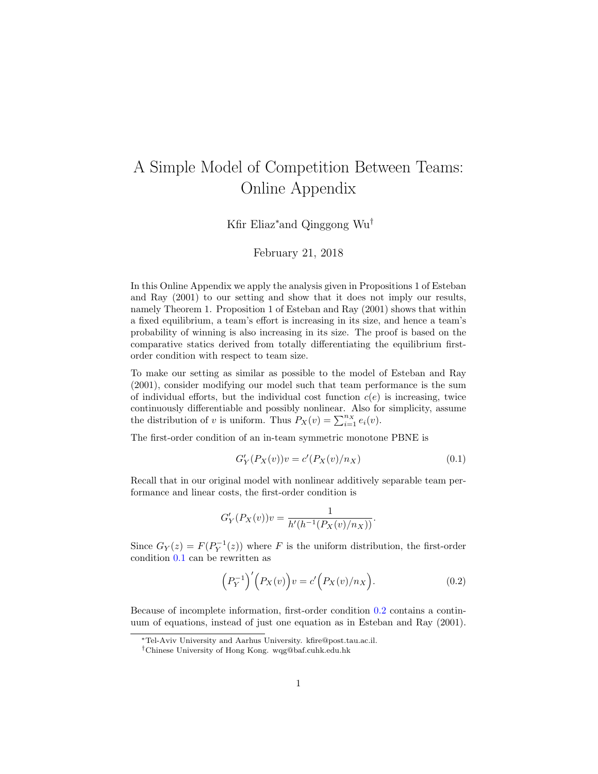## <span id="page-0-2"></span>A Simple Model of Competition Between Teams: Online Appendix

Kfir Eliaz<sup>∗</sup>and Qinggong Wu†

## February 21, 2018

In this Online Appendix we apply the analysis given in Propositions 1 of [Esteban](#page-2-0) [and Ray](#page-2-0) [\(2001\)](#page-2-0) to our setting and show that it does not imply our results, namely Theorem 1. Proposition 1 of [Esteban and Ray](#page-2-0) [\(2001\)](#page-2-0) shows that within a fixed equilibrium, a team's effort is increasing in its size, and hence a team's probability of winning is also increasing in its size. The proof is based on the comparative statics derived from totally differentiating the equilibrium firstorder condition with respect to team size.

To make our setting as similar as possible to the model of [Esteban and Ray](#page-2-0) [\(2001\)](#page-2-0), consider modifying our model such that team performance is the sum of individual efforts, but the individual cost function  $c(e)$  is increasing, twice continuously differentiable and possibly nonlinear. Also for simplicity, assume the distribution of v is uniform. Thus  $P_X(v) = \sum_{i=1}^{n_X} e_i(v)$ .

The first-order condition of an in-team symmetric monotone PBNE is

<span id="page-0-0"></span>
$$
G'_{Y}(P_X(v))v = c'(P_X(v)/n_X)
$$
\n(0.1)

Recall that in our original model with nonlinear additively separable team performance and linear costs, the first-order condition is

$$
G'_{Y}(P_X(v))v = \frac{1}{h'(h^{-1}(P_X(v)/n_X))}.
$$

Since  $G_Y(z) = F(P_Y^{-1}(z))$  where F is the uniform distribution, the first-order condition [0.1](#page-0-0) can be rewritten as

<span id="page-0-1"></span>
$$
\left(P_Y^{-1}\right)' \left(P_X(v)\right) v = c' \left(P_X(v)/n_X\right). \tag{0.2}
$$

Because of incomplete information, first-order condition [0.2](#page-0-1) contains a continuum of equations, instead of just one equation as in [Esteban and Ray](#page-2-0) [\(2001\)](#page-2-0).

<sup>∗</sup>Tel-Aviv University and Aarhus University. kfire@post.tau.ac.il.

<sup>†</sup>Chinese University of Hong Kong. wqg@baf.cuhk.edu.hk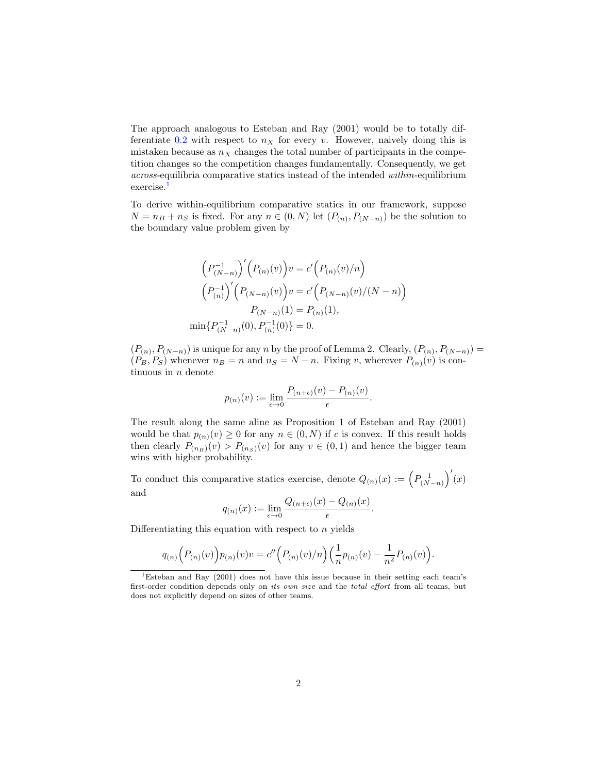The approach analogous to [Esteban and Ray](#page-2-0) [\(2001\)](#page-2-0) would be to totally dif-ferentiate [0.2](#page-0-1) with respect to  $n<sub>X</sub>$  for every v. However, naively doing this is mistaken because as  $n<sub>X</sub>$  changes the total number of participants in the competition changes so the competition changes fundamentally. Consequently, we get across-equilibria comparative statics instead of the intended within-equilibrium exercise.<sup>[1](#page-0-2)</sup>

To derive within-equilibrium comparative statics in our framework, suppose  $N = n_B + n_S$  is fixed. For any  $n \in (0, N)$  let  $(P_{(n)}, P_{(N-n)})$  be the solution to the boundary value problem given by

$$
(P_{(N-n)}^{-1})'(P_{(n)}(v))v = c'(P_{(n)}(v)/n)
$$

$$
(P_{(n)}^{-1})'(P_{(N-n)}(v))v = c'(P_{(N-n)}(v)/(N-n))
$$

$$
P_{(N-n)}(1) = P_{(n)}(1),
$$

$$
\min\{P_{(N-n)}^{-1}(0), P_{(n)}^{-1}(0)\} = 0.
$$

 $(P_{(n)}, P_{(N-n)})$  is unique for any n by the proof of Lemma 2. Clearly,  $(P_{(n)}, P_{(N-n)}) =$  $(P_B, P_S)$  whenever  $n_B = n$  and  $n_S = N - n$ . Fixing v, wherever  $P_{(n)}(v)$  is continuous in  $n$  denote

$$
p_{(n)}(v) := \lim_{\epsilon \to 0} \frac{P_{(n+\epsilon)}(v) - P_{(n)}(v)}{\epsilon}.
$$

The result along the same aline as Proposition 1 of [Esteban and Ray](#page-2-0) [\(2001\)](#page-2-0) would be that  $p_{(n)}(v) \geq 0$  for any  $n \in (0, N)$  if c is convex. If this result holds then clearly  $P_{(n_B)}(v) > P_{(n_S)}(v)$  for any  $v \in (0,1)$  and hence the bigger team wins with higher probability.

To conduct this comparative statics exercise, denote  $Q_{(n)}(x) := (P_{(N-n)}^{-1})'(x)$ and

$$
q_{(n)}(x) := \lim_{\epsilon \to 0} \frac{Q_{(n+\epsilon)}(x) - Q_{(n)}(x)}{\epsilon}
$$

.

Differentiating this equation with respect to  $n$  yields

$$
q_{(n)}\Big(P_{(n)}(v)\Big)p_{(n)}(v)v = c''\Big(P_{(n)}(v)/n\Big)\Big(\frac{1}{n}p_{(n)}(v) - \frac{1}{n^2}P_{(n)}(v)\Big).
$$

<sup>1</sup>[Esteban and Ray](#page-2-0) [\(2001\)](#page-2-0) does not have this issue because in their setting each team's first-order condition depends only on its own size and the total effort from all teams, but does not explicitly depend on sizes of other teams.